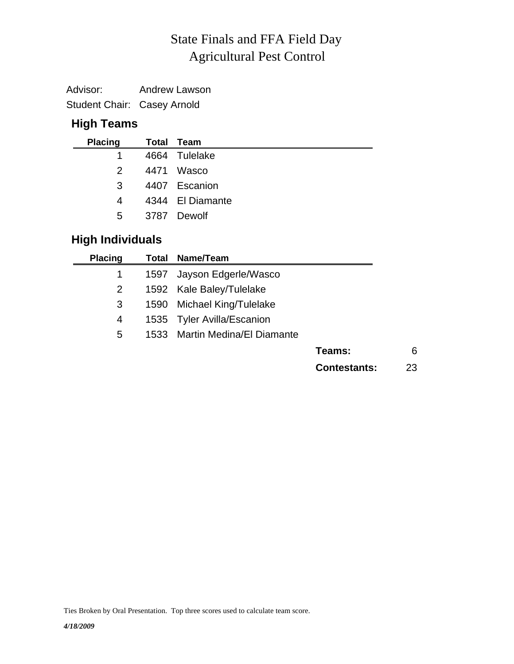## Agricultural Pest Control State Finals and FFA Field Day

| Advisor:                    | <b>Andrew Lawson</b> |
|-----------------------------|----------------------|
| Student Chair: Casey Arnold |                      |

## **High Teams**

| <b>Placing</b> | Total Team       |
|----------------|------------------|
| $\mathbf{1}$   | 4664 Tulelake    |
| $\mathcal{P}$  | 4471 Wasco       |
| 3              | 4407 Escanion    |
| 4              | 4344 El Diamante |
| 5              | 3787 Dewolf      |
|                |                  |

## **High Individuals**

| <b>Placing</b> | Total | Name/Team                  |                     |    |
|----------------|-------|----------------------------|---------------------|----|
| 1              | 1597  | Jayson Edgerle/Wasco       |                     |    |
| $\overline{2}$ |       | 1592 Kale Baley/Tulelake   |                     |    |
| 3              | 1590  | Michael King/Tulelake      |                     |    |
| 4              |       | 1535 Tyler Avilla/Escanion |                     |    |
| 5              | 1533. | Martin Medina/El Diamante  |                     |    |
|                |       |                            | Teams:              | 6  |
|                |       |                            | <b>Contestants:</b> | 23 |
|                |       |                            |                     |    |

Ties Broken by Oral Presentation. Top three scores used to calculate team score.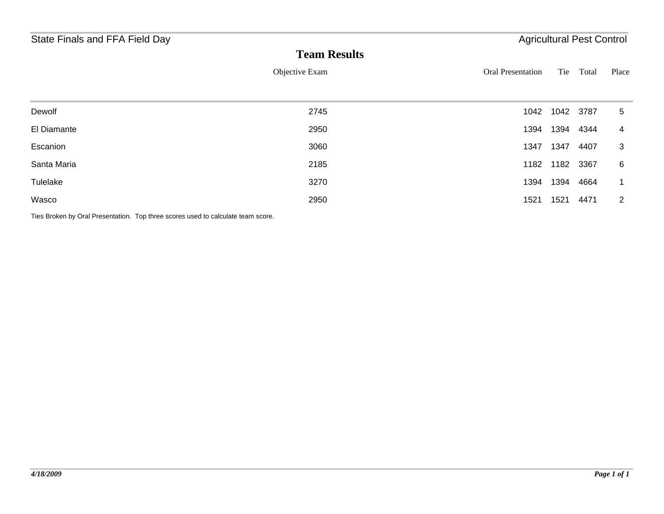| State Finals and FFA Field Day |                     | <b>Agricultural Pest Control</b> |           |       |       |
|--------------------------------|---------------------|----------------------------------|-----------|-------|-------|
|                                | <b>Team Results</b> |                                  |           |       |       |
|                                | Objective Exam      | <b>Oral Presentation</b>         | Tie       | Total | Place |
|                                |                     |                                  |           |       |       |
| Dewolf                         | 2745                | 1042                             | 1042 3787 |       | 5     |
| El Diamante                    | 2950                | 1394                             | 1394      | 4344  | 4     |
| Escanion                       | 3060                | 1347                             | 1347      | 4407  | 3     |
| Santa Maria                    | 2185                | 1182                             | 1182      | 3367  | 6     |
| Tulelake                       | 3270                | 1394                             | 1394      | 4664  | 1     |
| Wasco                          | 2950                | 1521                             | 1521      | 4471  | 2     |

Ties Broken by Oral Presentation. Top three scores used to calculate team score.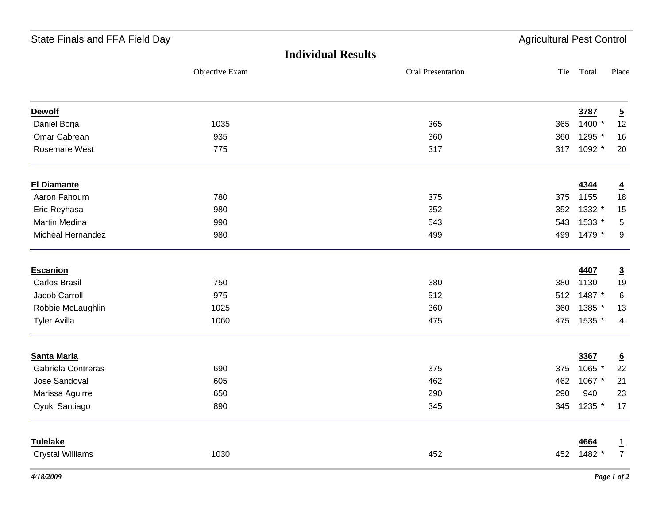| State Finals and FFA Field Day |                |                           | <b>Agricultural Pest Control</b> |        |                 |
|--------------------------------|----------------|---------------------------|----------------------------------|--------|-----------------|
|                                |                | <b>Individual Results</b> |                                  |        |                 |
|                                | Objective Exam | Oral Presentation         | Tie                              | Total  | Place           |
| <b>Dewolf</b>                  |                |                           |                                  | 3787   | $\overline{5}$  |
| Daniel Borja                   | 1035           | 365                       | 365                              | 1400 * | 12              |
| Omar Cabrean                   | 935            | 360                       | 360                              | 1295 * | 16              |
| Rosemare West                  | 775            | 317                       | 317                              | 1092 * | 20              |
| <b>El Diamante</b>             |                |                           |                                  | 4344   | $\overline{4}$  |
| Aaron Fahoum                   | 780            | 375                       | 375                              | 1155   | 18              |
| Eric Reyhasa                   | 980            | 352                       | 352                              | 1332 * | 15              |
| Martin Medina                  | 990            | 543                       | 543                              | 1533 * | 5               |
| Micheal Hernandez              | 980            | 499                       | 499                              | 1479 * | 9               |
| <b>Escanion</b>                |                |                           |                                  | 4407   | $\overline{3}$  |
| <b>Carlos Brasil</b>           | 750            | 380                       | 380                              | 1130   | 19              |
| Jacob Carroll                  | 975            | 512                       | 512                              | 1487 * | 6               |
| Robbie McLaughlin              | 1025           | 360                       | 360                              | 1385 * | 13              |
| <b>Tyler Avilla</b>            | 1060           | 475                       | 475                              | 1535 * | 4               |
| <b>Santa Maria</b>             |                |                           |                                  | 3367   | $\underline{6}$ |
| Gabriela Contreras             | 690            | 375                       | 375                              | 1065 * | 22              |
| Jose Sandoval                  | 605            | 462                       | 462                              | 1067 * | 21              |
| Marissa Aguirre                | 650            | 290                       | 290                              | 940    | 23              |
| Oyuki Santiago                 | 890            | 345                       | 345                              | 1235 * | 17              |
| <b>Tulelake</b>                |                |                           |                                  | 4664   | $\overline{1}$  |
| <b>Crystal Williams</b>        | 1030           | 452                       | 452                              | 1482 * | $\overline{7}$  |